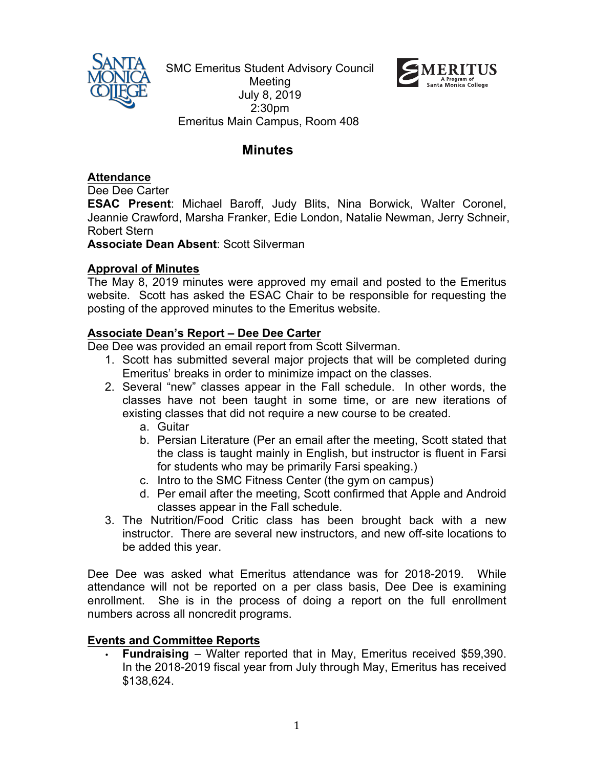

SMC Emeritus Student Advisory Council Meeting July 8, 2019 2:30pm Emeritus Main Campus, Room 408



# **Minutes**

**Attendance**

Dee Dee Carter

**ESAC Present**: Michael Baroff, Judy Blits, Nina Borwick, Walter Coronel, Jeannie Crawford, Marsha Franker, Edie London, Natalie Newman, Jerry Schneir, Robert Stern

**Associate Dean Absent**: Scott Silverman

## **Approval of Minutes**

The May 8, 2019 minutes were approved my email and posted to the Emeritus website. Scott has asked the ESAC Chair to be responsible for requesting the posting of the approved minutes to the Emeritus website.

## **Associate Dean's Report – Dee Dee Carter**

Dee Dee was provided an email report from Scott Silverman.

- 1. Scott has submitted several major projects that will be completed during Emeritus' breaks in order to minimize impact on the classes.
- 2. Several "new" classes appear in the Fall schedule. In other words, the classes have not been taught in some time, or are new iterations of existing classes that did not require a new course to be created.
	- a. Guitar
	- b. Persian Literature (Per an email after the meeting, Scott stated that the class is taught mainly in English, but instructor is fluent in Farsi for students who may be primarily Farsi speaking.)
	- c. Intro to the SMC Fitness Center (the gym on campus)
	- d. Per email after the meeting, Scott confirmed that Apple and Android classes appear in the Fall schedule.
- 3. The Nutrition/Food Critic class has been brought back with a new instructor. There are several new instructors, and new off-site locations to be added this year.

Dee Dee was asked what Emeritus attendance was for 2018-2019. While attendance will not be reported on a per class basis, Dee Dee is examining enrollment. She is in the process of doing a report on the full enrollment numbers across all noncredit programs.

### **Events and Committee Reports**

• **Fundraising** – Walter reported that in May, Emeritus received \$59,390. In the 2018-2019 fiscal year from July through May, Emeritus has received \$138,624.